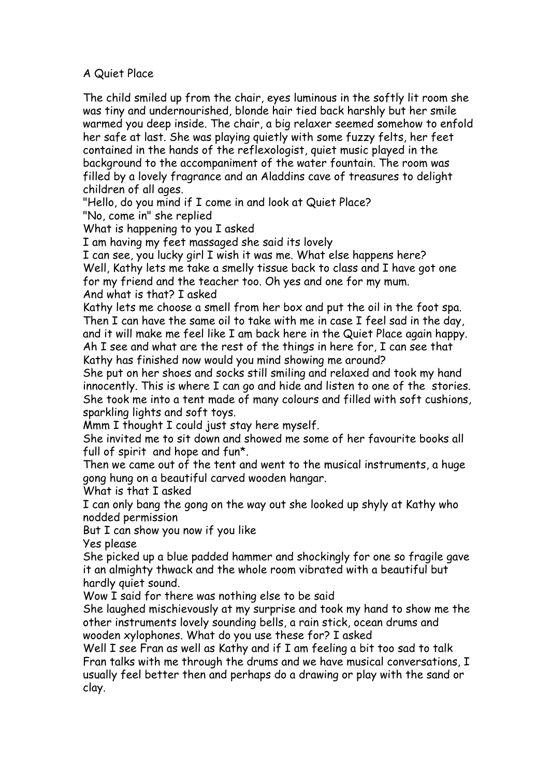# A Quiet Place

The child smiled up from the chair, eyes luminous in the softly lit room she was tiny and undernourished, blonde hair tied back harshly but her smile warmed you deep inside. The chair, a big relaxer seemed somehow to enfold her safe at last. She was playing quietly with some fuzzy felts, her feet contained in the hands of the reflexologist, quiet music played in the background to the accompaniment of the water fountain. The room was filled by a lovely fragrance and an Aladdins cave of treasures to delight children of all ages.

"Hello, do you mind if I come in and look at Quiet Place?

"No, come in" she replied

What is happening to you I asked

I am having my feet massaged she said its lovely

I can see, you lucky girl I wish it was me. What else happens here? Well, Kathy lets me take a smelly tissue back to class and I have got one for my friend and the teacher too. Oh yes and one for my mum. And what is that? I asked

Kathy lets me choose a smell from her box and put the oil in the foot spa. Then I can have the same oil to take with me in case I feel sad in the day, and it will make me feel like I am back here in the Quiet Place again happy. Ah I see and what are the rest of the things in here for, I can see that Kathy has finished now would you mind showing me around?

She put on her shoes and socks still smiling and relaxed and took my hand innocently. This is where I can go and hide and listen to one of the stories. She took me into a tent made of many colours and filled with soft cushions, sparkling lights and soft toys.

Mmm I thought I could just stay here myself.

She invited me to sit down and showed me some of her favourite books all full of spirit and hope and fun\*.

Then we came out of the tent and went to the musical instruments, a huge gong hung on a beautiful carved wooden hangar.

What is that I asked

I can only bang the gong on the way out she looked up shyly at Kathy who nodded permission

But I can show you now if you like

Yes please

She picked up a blue padded hammer and shockingly for one so fragile gave it an almighty thwack and the whole room vibrated with a beautiful but hardly quiet sound.

Wow I said for there was nothing else to be said

She laughed mischievously at my surprise and took my hand to show me the other instruments lovely sounding bells, a rain stick, ocean drums and wooden xylophones. What do you use these for? I asked

Well I see Fran as well as Kathy and if I am feeling a bit too sad to talk Fran talks with me through the drums and we have musical conversations, I usually feel better then and perhaps do a drawing or play with the sand or clay.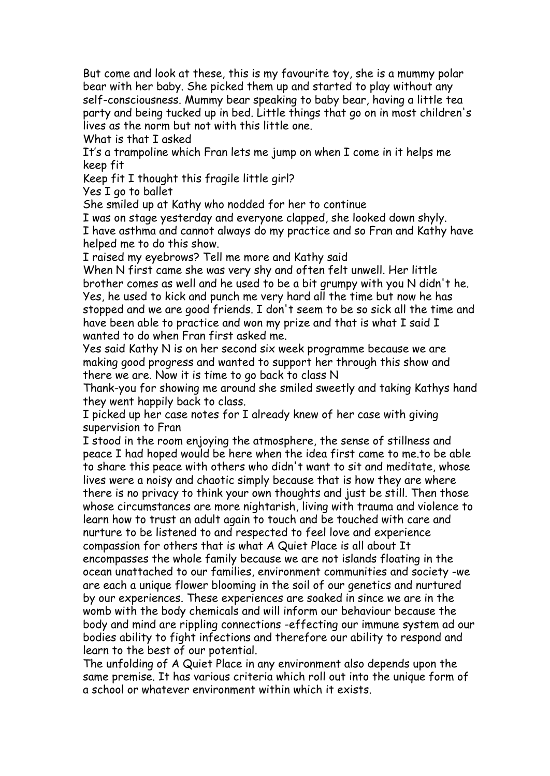But come and look at these, this is my favourite toy, she is a mummy polar bear with her baby. She picked them up and started to play without any self-consciousness. Mummy bear speaking to baby bear, having a little tea party and being tucked up in bed. Little things that go on in most children's lives as the norm but not with this little one.

What is that I asked

It's a trampoline which Fran lets me jump on when I come in it helps me keep fit

Keep fit I thought this fragile little girl?

Yes I go to ballet

She smiled up at Kathy who nodded for her to continue

I was on stage yesterday and everyone clapped, she looked down shyly. I have asthma and cannot always do my practice and so Fran and Kathy have helped me to do this show.

I raised my eyebrows? Tell me more and Kathy said

When N first came she was very shy and often felt unwell. Her little brother comes as well and he used to be a bit grumpy with you N didn't he. Yes, he used to kick and punch me very hard all the time but now he has stopped and we are good friends. I don't seem to be so sick all the time and have been able to practice and won my prize and that is what I said I wanted to do when Fran first asked me.

Yes said Kathy N is on her second six week programme because we are making good progress and wanted to support her through this show and there we are. Now it is time to go back to class N

Thank-you for showing me around she smiled sweetly and taking Kathys hand they went happily back to class.

I picked up her case notes for I already knew of her case with giving supervision to Fran

I stood in the room enjoying the atmosphere, the sense of stillness and peace I had hoped would be here when the idea first came to me.to be able to share this peace with others who didn't want to sit and meditate, whose lives were a noisy and chaotic simply because that is how they are where there is no privacy to think your own thoughts and just be still. Then those whose circumstances are more nightarish, living with trauma and violence to learn how to trust an adult again to touch and be touched with care and nurture to be listened to and respected to feel love and experience compassion for others that is what A Quiet Place is all about It encompasses the whole family because we are not islands floating in the ocean unattached to our families, environment communities and society -we are each a unique flower blooming in the soil of our genetics and nurtured by our experiences. These experiences are soaked in since we are in the womb with the body chemicals and will inform our behaviour because the body and mind are rippling connections -effecting our immune system ad our bodies ability to fight infections and therefore our ability to respond and learn to the best of our potential.

The unfolding of A Quiet Place in any environment also depends upon the same premise. It has various criteria which roll out into the unique form of a school or whatever environment within which it exists.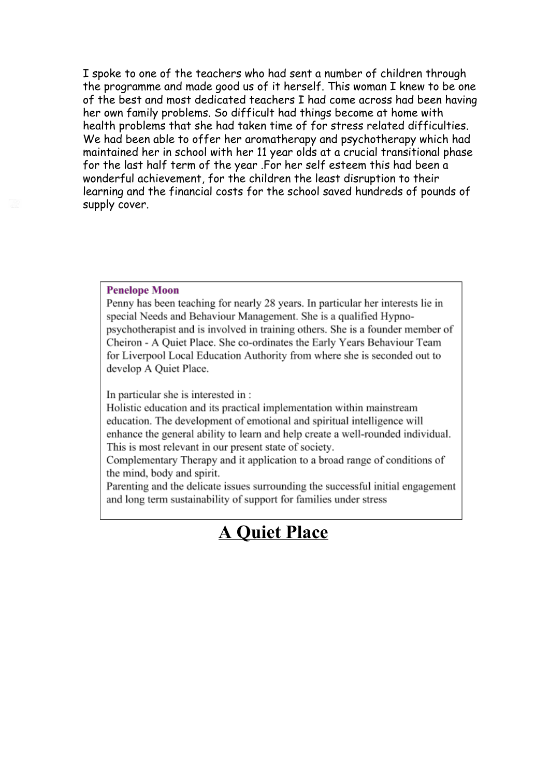I spoke to one of the teachers who had sent a number of children through the programme and made good us of it herself. This woman I knew to be one of the best and most dedicated teachers I had come across had been having her own family problems. So difficult had things become at home with health problems that she had taken time of for stress related difficulties. We had been able to offer her aromatherapy and psychotherapy which had maintained her in school with her 11 year olds at a crucial transitional phase for the last half term of the year .For her self esteem this had been a wonderful achievement, for the children the least disruption to their learning and the financial costs for the school saved hundreds of pounds of supply cover.

#### **Penelope Moon**

Penny has been teaching for nearly 28 years. In particular her interests lie in special Needs and Behaviour Management. She is a qualified Hypnopsychotherapist and is involved in training others. She is a founder member of Cheiron - A Quiet Place. She co-ordinates the Early Years Behaviour Team for Liverpool Local Education Authority from where she is seconded out to develop A Quiet Place.

In particular she is interested in :

Holistic education and its practical implementation within mainstream education. The development of emotional and spiritual intelligence will enhance the general ability to learn and help create a well-rounded individual. This is most relevant in our present state of society.

Complementary Therapy and it application to a broad range of conditions of the mind, body and spirit.

Parenting and the delicate issues surrounding the successful initial engagement and long term sustainability of support for families under stress

# **A Quiet Place**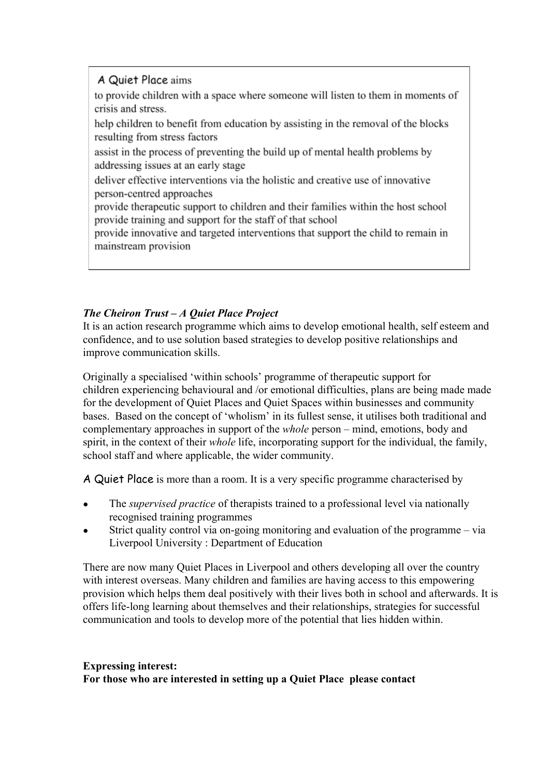# A Quiet Place aims

to provide children with a space where someone will listen to them in moments of crisis and stress.

help children to benefit from education by assisting in the removal of the blocks resulting from stress factors

assist in the process of preventing the build up of mental health problems by addressing issues at an early stage

deliver effective interventions via the holistic and creative use of innovative person-centred approaches

provide therapeutic support to children and their families within the host school provide training and support for the staff of that school

provide innovative and targeted interventions that support the child to remain in mainstream provision

# *The Cheiron Trust – A Quiet Place Project*

It is an action research programme which aims to develop emotional health, self esteem and confidence, and to use solution based strategies to develop positive relationships and improve communication skills.

Originally a specialised 'within schools' programme of therapeutic support for children experiencing behavioural and /or emotional difficulties, plans are being made made for the development of Quiet Places and Quiet Spaces within businesses and community bases. Based on the concept of 'wholism' in its fullest sense, it utilises both traditional and complementary approaches in support of the *whole* person – mind, emotions, body and spirit, in the context of their *whole* life, incorporating support for the individual, the family, school staff and where applicable, the wider community.

A Quiet Place is more than a room. It is a very specific programme characterised by

- The *supervised practice* of therapists trained to a professional level via nationally recognised training programmes
- Strict quality control via on-going monitoring and evaluation of the programme via Liverpool University : Department of Education

There are now many Quiet Places in Liverpool and others developing all over the country with interest overseas. Many children and families are having access to this empowering provision which helps them deal positively with their lives both in school and afterwards. It is offers life-long learning about themselves and their relationships, strategies for successful communication and tools to develop more of the potential that lies hidden within.

## **Expressing interest: For those who are interested in setting up a Quiet Place please contact**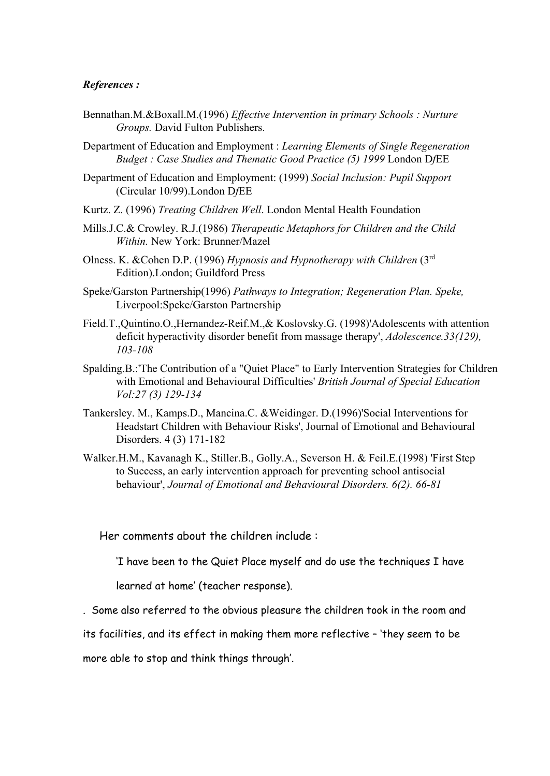## *References :*

- Bennathan.M.&Boxall.M.(1996) *Ef ective Intervention in primary Schools : Nurture Groups.* David Fulton Publishers.
- Department of Education and Employment : *Learning Elements of Single Regeneration Budget : Case Studies and Thematic Good Practice (5) 1999* London D*f*EE
- Department of Education and Employment: (1999) *Social Inclusion: Pupil Support* (Circular 10/99).London D*f*EE
- Kurtz. Z. (1996) *Treating Children Well*. London Mental Health Foundation
- Mills.J.C.& Crowley. R.J.(1986) *Therapeutic Metaphors for Children and the Child Within.* New York: Brunner/Mazel
- Olness. K. &Cohen D.P. (1996) *Hypnosis and Hypnotherapy with Children* (3 rd Edition).London; Guildford Press
- Speke/Garston Partnership(1996) *Pathways to Integration; Regeneration Plan. Speke,* Liverpool:Speke/Garston Partnership
- Field.T.,Quintino.O.,Hernandez-Reif.M.,& Koslovsky.G. (1998)'Adolescents with attention deficit hyperactivity disorder benefit from massage therapy', *Adolescence.33(129), 103108*
- Spalding.B.:'The Contribution of a "Quiet Place" to Early Intervention Strategies for Children with Emotional and Behavioural Difficulties' *British Journal of Special Education Vol:27 (3) 129134*
- Tankersley. M., Kamps.D., Mancina.C. &Weidinger. D.(1996)'Social Interventions for Headstart Children with Behaviour Risks', Journal of Emotional and Behavioural Disorders. 4 (3) 171-182
- Walker.H.M., Kavanagh K., Stiller.B., Golly.A., Severson H. & Feil.E.(1998) 'First Step to Success, an early intervention approach for preventing school antisocial behaviour', *Journal of Emotional and Behavioural Disorders. 6(2). 6681*

Her comments about the children include :

'I have been to the Quiet Place myself and do use the techniques I have

learned at home' (teacher response).

. Some also referred to the obvious pleasure the children took in the room and

its facilities, and its effect in making them more reflective – 'they seem to be

more able to stop and think things through'.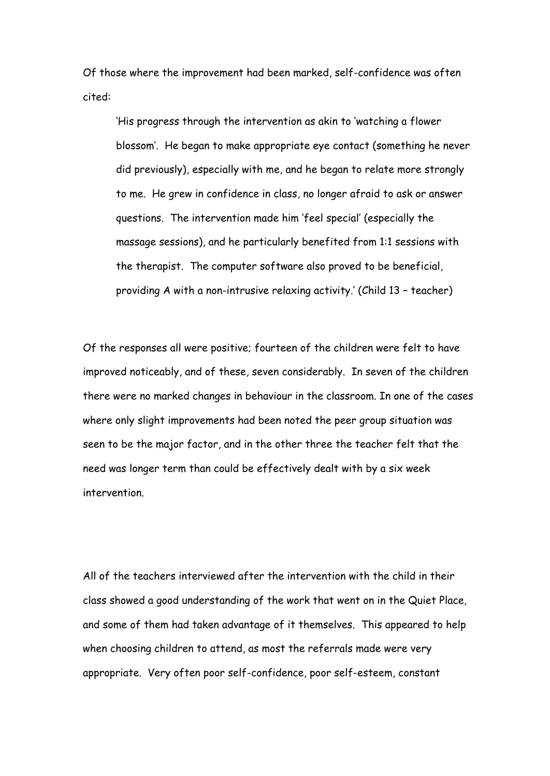Of those where the improvement had been marked, self-confidence was often cited:

'His progress through the intervention as akin to 'watching a flower blossom'. He began to make appropriate eye contact (something he never did previously), especially with me, and he began to relate more strongly to me. He grew in confidence in class, no longer afraid to ask or answer questions. The intervention made him 'feel special' (especially the massage sessions), and he particularly benefited from 1:1 sessions with the therapist. The computer software also proved to be beneficial, providing A with a non-intrusive relaxing activity.' (Child 13 – teacher)

Of the responses all were positive; fourteen of the children were felt to have improved noticeably, and of these, seven considerably. In seven of the children there were no marked changes in behaviour in the classroom. In one of the cases where only slight improvements had been noted the peer group situation was seen to be the major factor, and in the other three the teacher felt that the need was longer term than could be effectively dealt with by a six week intervention.

All of the teachers interviewed after the intervention with the child in their class showed a good understanding of the work that went on in the Quiet Place, and some of them had taken advantage of it themselves. This appeared to help when choosing children to attend, as most the referrals made were very appropriate. Very often poor self-confidence, poor self-esteem, constant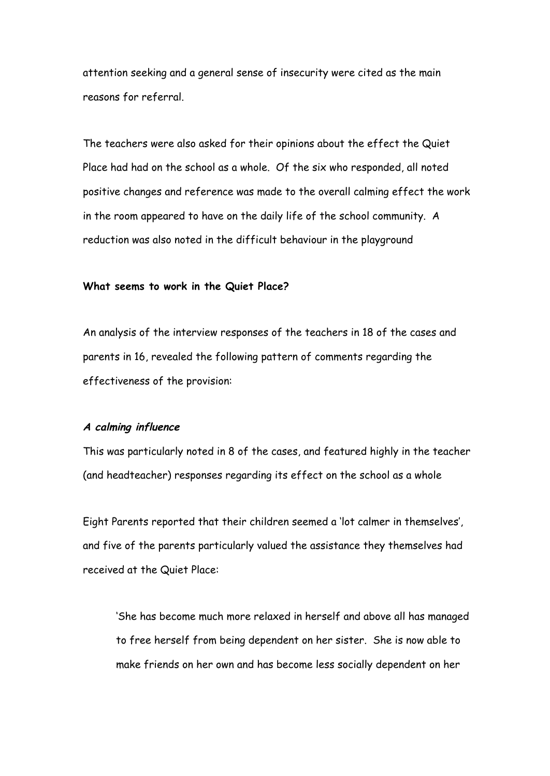attention seeking and a general sense of insecurity were cited as the main reasons for referral.

The teachers were also asked for their opinions about the effect the Quiet Place had had on the school as a whole. Of the six who responded, all noted positive changes and reference was made to the overall calming effect the work in the room appeared to have on the daily life of the school community. A reduction was also noted in the difficult behaviour in the playground

## **What seems to work in the Quiet Place?**

An analysis of the interview responses of the teachers in 18 of the cases and parents in 16, revealed the following pattern of comments regarding the effectiveness of the provision:

## **<sup>A</sup> calming influence**

This was particularly noted in 8 of the cases, and featured highly in the teacher (and headteacher) responses regarding its effect on the school as a whole

Eight Parents reported that their children seemed a 'lot calmer in themselves', and five of the parents particularly valued the assistance they themselves had received at the Quiet Place:

'She has become much more relaxed in herself and above all has managed to free herself from being dependent on her sister. She is now able to make friends on her own and has become less socially dependent on her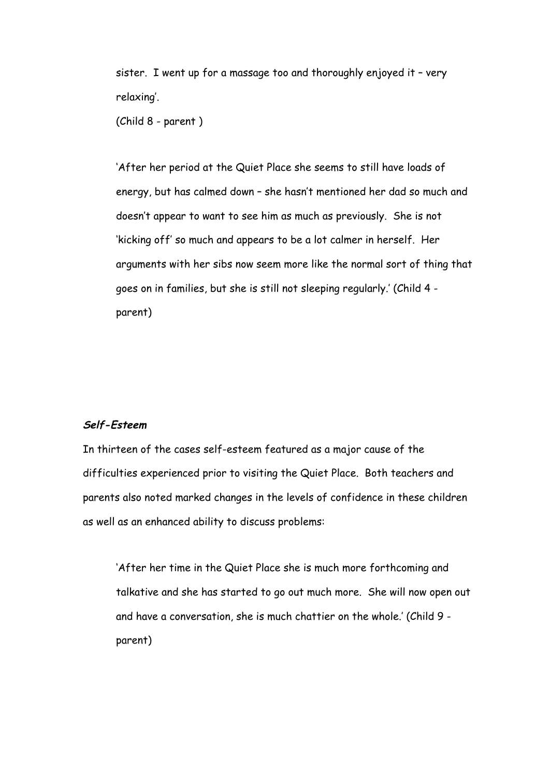sister. I went up for a massage too and thoroughly enjoyed it – very relaxing'.

(Child 8 - parent )

'After her period at the Quiet Place she seems to still have loads of energy, but has calmed down – she hasn't mentioned her dad so much and doesn't appear to want to see him as much as previously. She is not 'kicking off' so much and appears to be a lot calmer in herself. Her arguments with her sibs now seem more like the normal sort of thing that goes on in families, but she is still not sleeping regularly.' (Child 4 parent)

## **Self-Esteem**

In thirteen of the cases self-esteem featured as a major cause of the difficulties experienced prior to visiting the Quiet Place. Both teachers and parents also noted marked changes in the levels of confidence in these children as well as an enhanced ability to discuss problems:

'After her time in the Quiet Place she is much more forthcoming and talkative and she has started to go out much more. She will now open out and have a conversation, she is much chattier on the whole.' (Child 9 parent)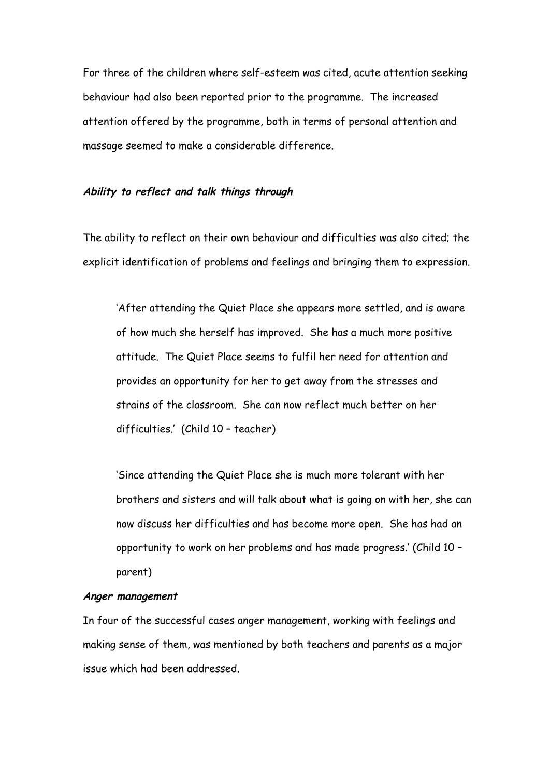For three of the children where self-esteem was cited, acute attention seeking behaviour had also been reported prior to the programme. The increased attention offered by the programme, both in terms of personal attention and massage seemed to make a considerable difference.

#### **Ability to reflect and talk things through**

The ability to reflect on their own behaviour and difficulties was also cited; the explicit identification of problems and feelings and bringing them to expression.

'After attending the Quiet Place she appears more settled, and is aware of how much she herself has improved. She has a much more positive attitude. The Quiet Place seems to fulfil her need for attention and provides an opportunity for her to get away from the stresses and strains of the classroom. She can now reflect much better on her difficulties.' (Child 10 – teacher)

'Since attending the Quiet Place she is much more tolerant with her brothers and sisters and will talk about what is going on with her, she can now discuss her difficulties and has become more open. She has had an opportunity to work on her problems and has made progress.' (Child 10 – parent)

#### **Anger management**

In four of the successful cases anger management, working with feelings and making sense of them, was mentioned by both teachers and parents as a major issue which had been addressed.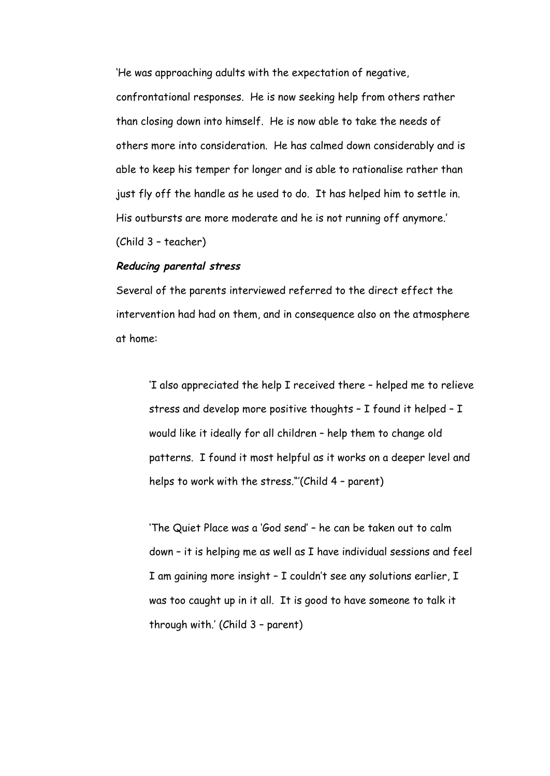'He was approaching adults with the expectation of negative,

confrontational responses. He is now seeking help from others rather than closing down into himself. He is now able to take the needs of others more into consideration. He has calmed down considerably and is able to keep his temper for longer and is able to rationalise rather than just fly off the handle as he used to do. It has helped him to settle in. His outbursts are more moderate and he is not running off anymore.' (Child 3 – teacher)

#### **Reducing parental stress**

Several of the parents interviewed referred to the direct effect the intervention had had on them, and in consequence also on the atmosphere at home:

'I also appreciated the help I received there – helped me to relieve stress and develop more positive thoughts – I found it helped – I would like it ideally for all children – help them to change old patterns. I found it most helpful as it works on a deeper level and helps to work with the stress."'(Child 4 – parent)

'The Quiet Place was a 'God send' – he can be taken out to calm down – it is helping me as well as I have individual sessions and feel I am gaining more insight – I couldn't see any solutions earlier, I was too caught up in it all. It is good to have someone to talk it through with.' (Child 3 – parent)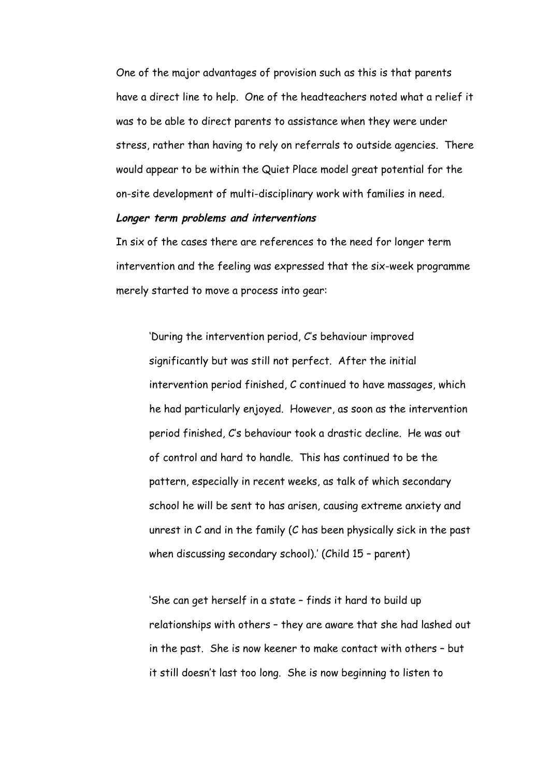One of the major advantages of provision such as this is that parents have a direct line to help. One of the headteachers noted what a relief it was to be able to direct parents to assistance when they were under stress, rather than having to rely on referrals to outside agencies. There would appear to be within the Quiet Place model great potential for the on-site development of multi-disciplinary work with families in need.

## **Longer term problems and interventions**

In six of the cases there are references to the need for longer term intervention and the feeling was expressed that the six-week programme merely started to move a process into gear:

'During the intervention period, C's behaviour improved significantly but was still not perfect. After the initial intervention period finished, C continued to have massages, which he had particularly enjoyed. However, as soon as the intervention period finished, C's behaviour took a drastic decline. He was out of control and hard to handle. This has continued to be the pattern, especially in recent weeks, as talk of which secondary school he will be sent to has arisen, causing extreme anxiety and unrest in C and in the family (C has been physically sick in the past when discussing secondary school).' (Child 15 - parent)

'She can get herself in a state – finds it hard to build up relationships with others – they are aware that she had lashed out in the past. She is now keener to make contact with others – but it still doesn't last too long. She is now beginning to listen to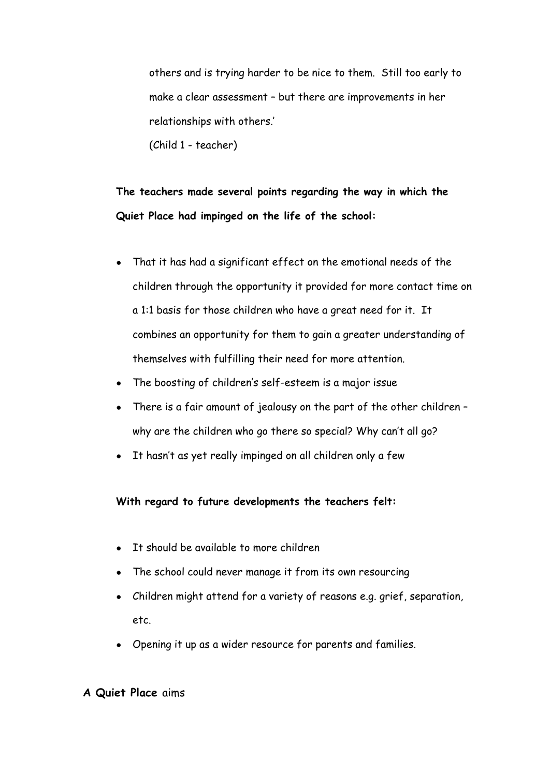others and is trying harder to be nice to them. Still too early to make a clear assessment – but there are improvements in her relationships with others.'

(Child 1 - teacher)

**The teachers made several points regarding the way in which the Quiet Place had impinged on the life of the school:**

- That it has had a significant effect on the emotional needs of the children through the opportunity it provided for more contact time on a 1:1 basis for those children who have a great need for it. It combines an opportunity for them to gain a greater understanding of themselves with fulfilling their need for more attention.
- The boosting of children's self-esteem is a major issue
- There is a fair amount of jealousy on the part of the other children why are the children who go there so special? Why can't all go?
- It hasn't as yet really impinged on all children only a few

**With regard to future developments the teachers felt:**

- It should be available to more children
- The school could never manage it from its own resourcing
- Children might attend for a variety of reasons e.g. grief, separation, etc.
- Opening it up as a wider resource for parents and families.

# **A Quiet Place** aims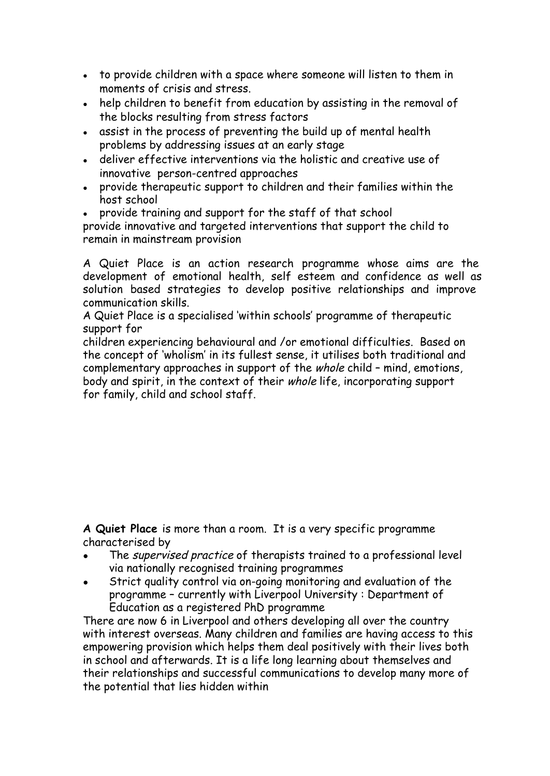- to provide children with a space where someone will listen to them in moments of crisis and stress.
- help children to benefit from education by assisting in the removal of the blocks resulting from stress factors
- assist in the process of preventing the build up of mental health problems by addressing issues at an early stage
- deliver effective interventions via the holistic and creative use of innovative person-centred approaches
- provide therapeutic support to children and their families within the host school
- provide training and support for the staff of that school

provide innovative and targeted interventions that support the child to remain in mainstream provision

A Quiet Place is an action research programme whose aims are the development of emotional health, self esteem and confidence as well as solution based strategies to develop positive relationships and improve communication skills.

A Quiet Place is a specialised 'within schools' programme of therapeutic support for

children experiencing behavioural and /or emotional difficulties. Based on the concept of 'wholism' in its fullest sense, it utilises both traditional and complementary approaches in support of the whole child – mind, emotions, body and spirit, in the context of their whole life, incorporating support for family, child and school staff.

**A Quiet Place** is more than a room. It is a very specific programme characterised by

- The supervised practice of therapists trained to a professional level via nationally recognised training programmes
- Strict quality control via on-going monitoring and evaluation of the programme – currently with Liverpool University : Department of Education as a registered PhD programme

There are now 6 in Liverpool and others developing all over the country with interest overseas. Many children and families are having access to this empowering provision which helps them deal positively with their lives both in school and afterwards. It is a life long learning about themselves and their relationships and successful communications to develop many more of the potential that lies hidden within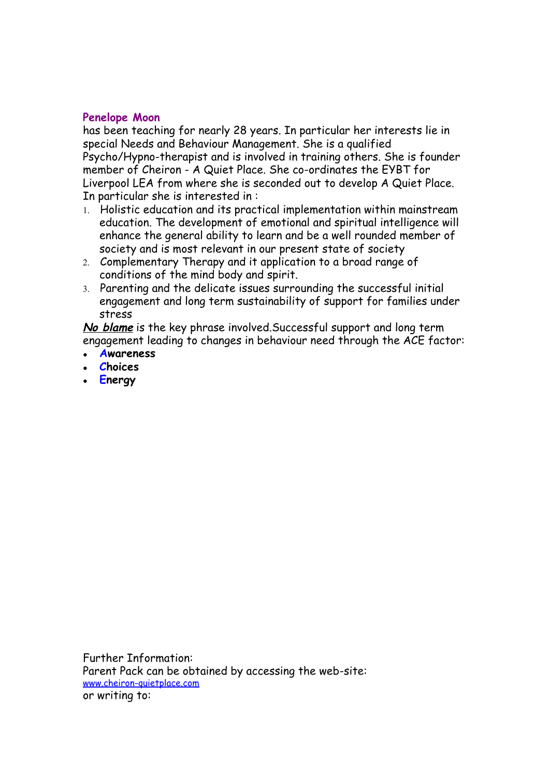# **Penelope Moon**

has been teaching for nearly 28 years. In particular her interests lie in special Needs and Behaviour Management. She is a qualified Psycho/Hypno-therapist and is involved in training others. She is founder member of Cheiron - A Quiet Place. She co-ordinates the EYBT for Liverpool LEA from where she is seconded out to develop A Quiet Place. In particular she is interested in :

- 1. Holistic education and its practical implementation within mainstream education. The development of emotional and spiritual intelligence will enhance the general ability to learn and be a well rounded member of society and is most relevant in our present state of society
- 2. Complementary Therapy and it application to a broad range of conditions of the mind body and spirit.
- 3. Parenting and the delicate issues surrounding the successful initial engagement and long term sustainability of support for families under stress

**No blame** is the key phrase involved.Successful support and long term engagement leading to changes in behaviour need through the ACE factor:

- **Awareness**
- **Choices**
- **Energy**

Further Information: Parent Pack can be obtained by accessing the web-site: [www.cheiron-quietplace.com](http://www.google.com/url?q=http%3A%2F%2Fwww.cheiron-quietplace.com&sa=D&sntz=1&usg=AFQjCNFuv-LoaNS5ToSKeSGLp9CmZQuh0w) or writing to: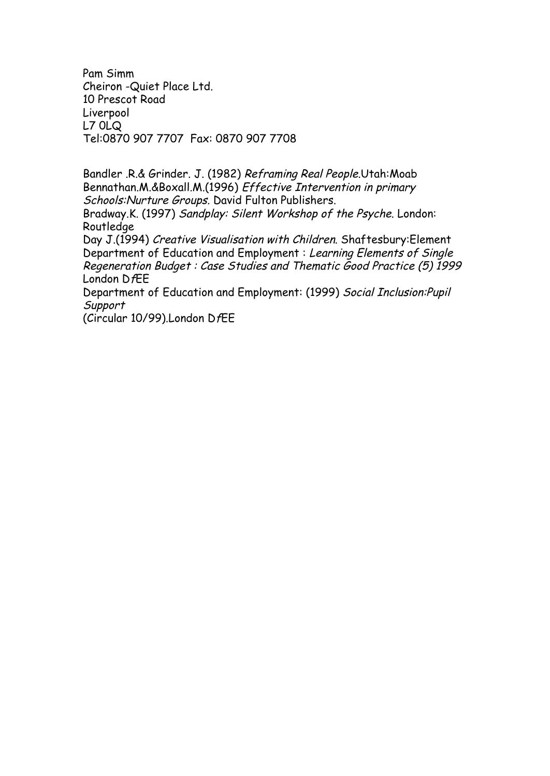Pam Simm Cheiron -Quiet Place Ltd. 10 Prescot Road Liverpool L7 0LQ Tel:0870 907 7707 Fax: 0870 907 7708

Bandler .R.& Grinder. J. (1982) Reframing Real People.Utah:Moab Bennathan.M.&Boxall.M.(1996) Effective Intervention in primary Schools:Nurture Groups. David Fulton Publishers.

Bradway.K. (1997) Sandplay: Silent Workshop of the Psyche. London: Routledge

Day J.(1994) Creative Visualisation with Children. Shaftesbury:Element Department of Education and Employment : Learning Elements of Single Regeneration Budget : Case Studies and Thematic Good Practice (5) 1999 London DfEE

Department of Education and Employment: (1999) Social Inclusion:Pupil **Support** 

(Circular 10/99).London DfEE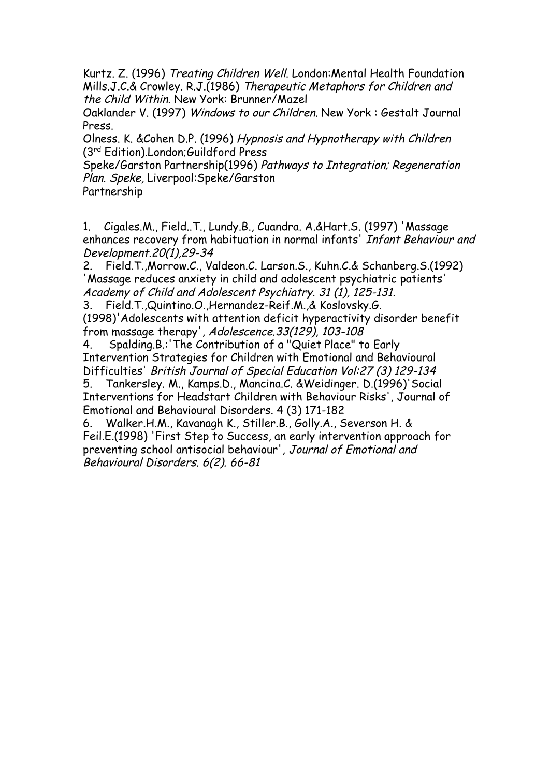Kurtz. Z. (1996) Treating Children Well. London:Mental Health Foundation Mills.J.C.& Crowley. R.J.(1986) Therapeutic Metaphors for Children and the Child Within. New York: Brunner/Mazel

Oaklander V. (1997) Windows to our Children. New York : Gestalt Journal Press.

Olness. K. &Cohen D.P. (1996) Hypnosis and Hypnotherapy with Children (3 rd Edition).London;Guildford Press

Speke/Garston Partnership(1996) Pathways to Integration; Regeneration Plan. Speke, Liverpool:Speke/Garston

Partnership

1. Cigales.M., Field..T., Lundy.B., Cuandra. A.&Hart.S. (1997) 'Massage enhances recovery from habituation in normal infants' Infant Behaviour and Development.20(1),29-34

2. Field.T.,Morrow.C., Valdeon.C. Larson.S., Kuhn.C.& Schanberg.S.(1992) 'Massage reduces anxiety in child and adolescent psychiatric patients' Academy of Child and Adolescent Psychiatry. 31 (1), 125-131.

3. Field.T.,Quintino.O.,Hernandez-Reif.M.,& Koslovsky.G. (1998)'Adolescents with attention deficit hyperactivity disorder benefit from massage therapy', Adolescence.33(129), 103-108

4. Spalding.B.:'The Contribution of a "Quiet Place" to Early Intervention Strategies for Children with Emotional and Behavioural Difficulties' British Journal of Special Education Vol:27 (3) 129-134

5. Tankersley. M., Kamps.D., Mancina.C. &Weidinger. D.(1996)'Social Interventions for Headstart Children with Behaviour Risks', Journal of Emotional and Behavioural Disorders. 4 (3) 171-182

6. Walker.H.M., Kavanagh K., Stiller.B., Golly.A., Severson H. & Feil.E.(1998) 'First Step to Success, an early intervention approach for preventing school antisocial behaviour', Journal of Emotional and Behavioural Disorders. 6(2). 66-81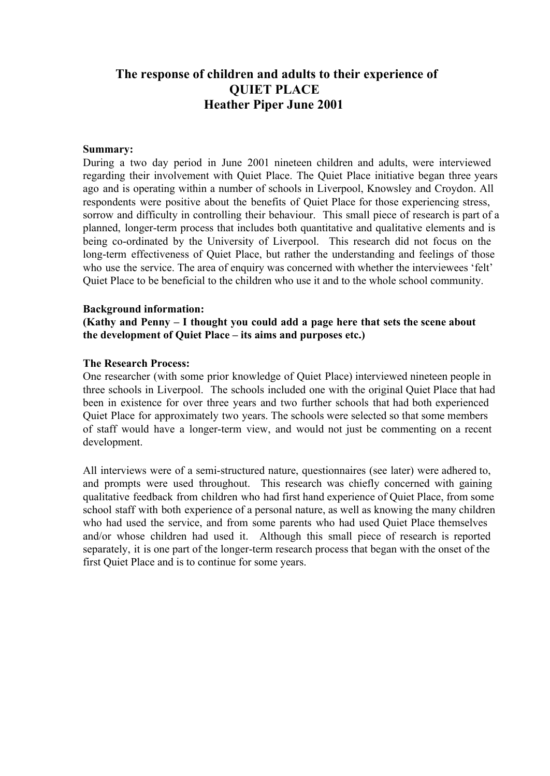# **The response of children and adults to their experience of QUIET PLACE Heather Piper June 2001**

#### **Summary:**

During a two day period in June 2001 nineteen children and adults, were interviewed regarding their involvement with Quiet Place. The Quiet Place initiative began three years ago and is operating within a number of schools in Liverpool, Knowsley and Croydon. All respondents were positive about the benefits of Quiet Place for those experiencing stress, sorrow and difficulty in controlling their behaviour. This small piece of research is part of a planned, longer-term process that includes both quantitative and qualitative elements and is being co-ordinated by the University of Liverpool. This research did not focus on the long-term effectiveness of Quiet Place, but rather the understanding and feelings of those who use the service. The area of enquiry was concerned with whether the interviewees 'felt' Quiet Place to be beneficial to the children who use it and to the whole school community.

#### **Background information:**

**(Kathy and Penny – I thought you could add a page here that sets the scene about the development of Quiet Place – its aims and purposes etc.)**

## **The Research Process:**

One researcher (with some prior knowledge of Quiet Place) interviewed nineteen people in three schools in Liverpool. The schools included one with the original Quiet Place that had been in existence for over three years and two further schools that had both experienced Quiet Place for approximately two years. The schools were selected so that some members of staff would have a longer-term view, and would not just be commenting on a recent development.

All interviews were of a semi-structured nature, questionnaires (see later) were adhered to, and prompts were used throughout. This research was chiefly concerned with gaining qualitative feedback from children who had first hand experience of Quiet Place, from some school staff with both experience of a personal nature, as well as knowing the many children who had used the service, and from some parents who had used Quiet Place themselves and/or whose children had used it. Although this small piece of research is reported separately, it is one part of the longer-term research process that began with the onset of the first Quiet Place and is to continue for some years.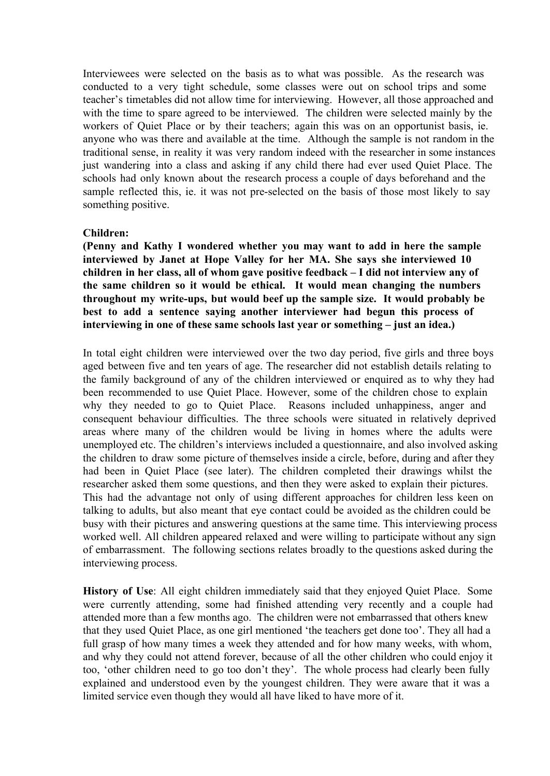Interviewees were selected on the basis as to what was possible. As the research was conducted to a very tight schedule, some classes were out on school trips and some teacher's timetables did not allow time for interviewing. However, all those approached and with the time to spare agreed to be interviewed. The children were selected mainly by the workers of Quiet Place or by their teachers; again this was on an opportunist basis, ie. anyone who was there and available at the time. Although the sample is not random in the traditional sense, in reality it was very random indeed with the researcher in some instances just wandering into a class and asking if any child there had ever used Quiet Place. The schools had only known about the research process a couple of days beforehand and the sample reflected this, ie. it was not pre-selected on the basis of those most likely to say something positive.

#### **Children:**

**(Penny and Kathy I wondered whether you may want to add in here the sample interviewed by Janet at Hope Valley for her MA. She says she interviewed 10 children in her class, all of whom gave positive feedback – I did not interview any of the same children so it would be ethical. It would mean changing the numbers throughout my writeups, but would beef up the sample size. It would probably be best to add a sentence saying another interviewer had begun this process of interviewing in one of these same schools last year or something – just an idea.)**

In total eight children were interviewed over the two day period, five girls and three boys aged between five and ten years of age. The researcher did not establish details relating to the family background of any of the children interviewed or enquired as to why they had been recommended to use Quiet Place. However, some of the children chose to explain why they needed to go to Quiet Place. Reasons included unhappiness, anger and consequent behaviour difficulties. The three schools were situated in relatively deprived areas where many of the children would be living in homes where the adults were unemployed etc. The children's interviews included a questionnaire, and also involved asking the children to draw some picture of themselves inside a circle, before, during and after they had been in Quiet Place (see later). The children completed their drawings whilst the researcher asked them some questions, and then they were asked to explain their pictures. This had the advantage not only of using different approaches for children less keen on talking to adults, but also meant that eye contact could be avoided as the children could be busy with their pictures and answering questions at the same time. This interviewing process worked well. All children appeared relaxed and were willing to participate without any sign of embarrassment. The following sections relates broadly to the questions asked during the interviewing process.

**History of Use**: All eight children immediately said that they enjoyed Quiet Place. Some were currently attending, some had finished attending very recently and a couple had attended more than a few months ago. The children were not embarrassed that others knew that they used Quiet Place, as one girl mentioned 'the teachers get done too'. They all had a full grasp of how many times a week they attended and for how many weeks, with whom, and why they could not attend forever, because of all the other children who could enjoy it too, 'other children need to go too don't they'. The whole process had clearly been fully explained and understood even by the youngest children. They were aware that it was a limited service even though they would all have liked to have more of it.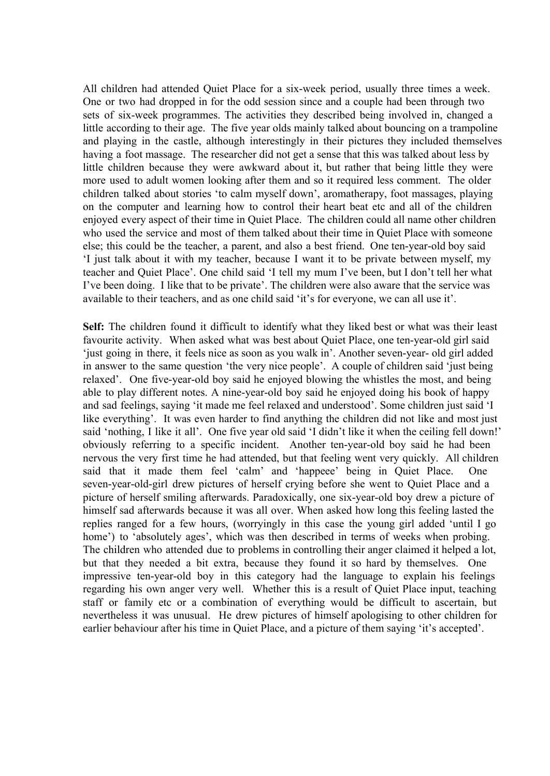All children had attended Quiet Place for a six-week period, usually three times a week. One or two had dropped in for the odd session since and a couple had been through two sets of six-week programmes. The activities they described being involved in, changed a little according to their age. The five year olds mainly talked about bouncing on a trampoline and playing in the castle, although interestingly in their pictures they included themselves having a foot massage. The researcher did not get a sense that this was talked about less by little children because they were awkward about it, but rather that being little they were more used to adult women looking after them and so it required less comment. The older children talked about stories 'to calm myself down', aromatherapy, foot massages, playing on the computer and learning how to control their heart beat etc and all of the children enjoyed every aspect of their time in Quiet Place. The children could all name other children who used the service and most of them talked about their time in Quiet Place with someone else; this could be the teacher, a parent, and also a best friend. One ten-year-old boy said 'I just talk about it with my teacher, because I want it to be private between myself, my teacher and Quiet Place'. One child said 'I tell my mum I've been, but I don't tell her what I've been doing. I like that to be private'. The children were also aware that the service was available to their teachers, and as one child said 'it's for everyone, we can all use it'.

**Self:** The children found it difficult to identify what they liked best or what was their least favourite activity. When asked what was best about Quiet Place, one ten-year-old girl said 'just going in there, it feels nice as soon as you walk in'. Another seven-year- old girl added in answer to the same question 'the very nice people'. A couple of children said 'just being relaxed'. One five-year-old boy said he enjoyed blowing the whistles the most, and being able to play different notes. A nine-year-old boy said he enjoyed doing his book of happy and sad feelings, saying 'it made me feel relaxed and understood'. Some children just said 'I like everything'. It was even harder to find anything the children did not like and most just said 'nothing, I like it all'. One five year old said 'I didn't like it when the ceiling fell down!' obviously referring to a specific incident. Another ten-year-old boy said he had been nervous the very first time he had attended, but that feeling went very quickly. All children said that it made them feel 'calm' and 'happeee' being in Quiet Place. seven-year-old-girl drew pictures of herself crying before she went to Quiet Place and a picture of herself smiling afterwards. Paradoxically, one six-year-old boy drew a picture of himself sad afterwards because it was all over. When asked how long this feeling lasted the replies ranged for a few hours, (worryingly in this case the young girl added 'until I go home') to 'absolutely ages', which was then described in terms of weeks when probing. The children who attended due to problems in controlling their anger claimed it helped a lot, but that they needed a bit extra, because they found it so hard by themselves. One impressive ten-year-old boy in this category had the language to explain his feelings regarding his own anger very well. Whether this is a result of Quiet Place input, teaching staff or family etc or a combination of everything would be difficult to ascertain, but nevertheless it was unusual. He drew pictures of himself apologising to other children for earlier behaviour after his time in Quiet Place, and a picture of them saying 'it's accepted'.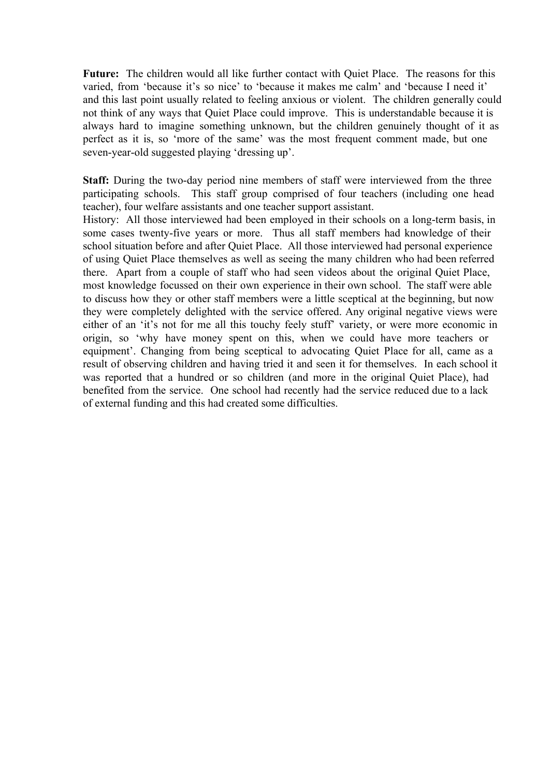**Future:** The children would all like further contact with Quiet Place. The reasons for this varied, from 'because it's so nice' to 'because it makes me calm' and 'because I need it' and this last point usually related to feeling anxious or violent. The children generally could not think of any ways that Quiet Place could improve. This is understandable because it is always hard to imagine something unknown, but the children genuinely thought of it as perfect as it is, so 'more of the same' was the most frequent comment made, but one seven-year-old suggested playing 'dressing up'.

**Staff:** During the two-day period nine members of staff were interviewed from the three participating schools. This staff group comprised of four teachers (including one head teacher), four welfare assistants and one teacher support assistant.

History: All those interviewed had been employed in their schools on a long-term basis, in some cases twenty-five years or more. Thus all staff members had knowledge of their school situation before and after Quiet Place. All those interviewed had personal experience of using Quiet Place themselves as well as seeing the many children who had been referred there. Apart from a couple of staff who had seen videos about the original Quiet Place, most knowledge focussed on their own experience in their own school. The staff were able to discuss how they or other staff members were a little sceptical at the beginning, but now they were completely delighted with the service offered. Any original negative views were either of an 'it's not for me all this touchy feely stuff' variety, or were more economic in origin, so 'why have money spent on this, when we could have more teachers or equipment'. Changing from being sceptical to advocating Quiet Place for all, came as a result of observing children and having tried it and seen it for themselves. In each school it was reported that a hundred or so children (and more in the original Quiet Place), had benefited from the service. One school had recently had the service reduced due to a lack of external funding and this had created some difficulties.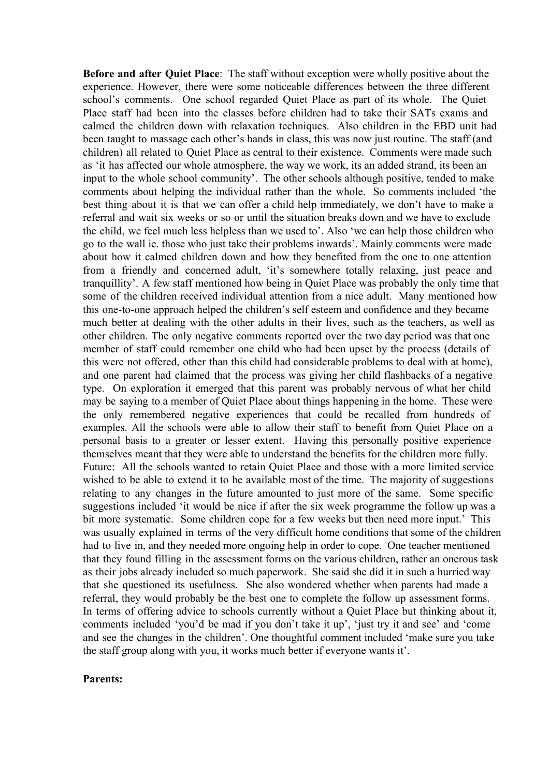**Before and after Quiet Place**: The staff without exception were wholly positive about the experience. However, there were some noticeable differences between the three different school's comments. One school regarded Quiet Place as part of its whole. The Quiet Place staff had been into the classes before children had to take their SATs exams and calmed the children down with relaxation techniques. Also children in the EBD unit had been taught to massage each other's hands in class, this was now just routine. The staff (and children) all related to Quiet Place as central to their existence. Comments were made such as 'it has affected our whole atmosphere, the way we work, its an added strand, its been an input to the whole school community'. The other schools although positive, tended to make comments about helping the individual rather than the whole. So comments included 'the best thing about it is that we can offer a child help immediately, we don't have to make a referral and wait six weeks or so or until the situation breaks down and we have to exclude the child, we feel much less helpless than we used to'. Also 'we can help those children who go to the wall ie. those who just take their problems inwards'. Mainly comments were made about how it calmed children down and how they benefited from the one to one attention from a friendly and concerned adult, 'it's somewhere totally relaxing, just peace and tranquillity'. A few staff mentioned how being in Quiet Place was probably the only time that some of the children received individual attention from a nice adult. Many mentioned how this one-to-one approach helped the children's self esteem and confidence and they became much better at dealing with the other adults in their lives, such as the teachers, as well as other children. The only negative comments reported over the two day period was that one member of staff could remember one child who had been upset by the process (details of this were not offered, other than this child had considerable problems to deal with at home), and one parent had claimed that the process was giving her child flashbacks of a negative type. On exploration it emerged that this parent was probably nervous of what her child may be saying to a member of Quiet Place about things happening in the home. These were the only remembered negative experiences that could be recalled from hundreds of examples. All the schools were able to allow their staff to benefit from Quiet Place on a personal basis to a greater or lesser extent. Having this personally positive experience themselves meant that they were able to understand the benefits for the children more fully. Future: All the schools wanted to retain Quiet Place and those with a more limited service wished to be able to extend it to be available most of the time. The majority of suggestions relating to any changes in the future amounted to just more of the same. Some specific suggestions included 'it would be nice if after the six week programme the follow up was a bit more systematic. Some children cope for a few weeks but then need more input.' This was usually explained in terms of the very difficult home conditions that some of the children had to live in, and they needed more ongoing help in order to cope. One teacher mentioned that they found filling in the assessment forms on the various children, rather an onerous task as their jobs already included so much paperwork. She said she did it in such a hurried way that she questioned its usefulness. She also wondered whether when parents had made a referral, they would probably be the best one to complete the follow up assessment forms. In terms of offering advice to schools currently without a Quiet Place but thinking about it, comments included 'you'd be mad if you don't take it up', 'just try it and see' and 'come and see the changes in the children'. One thoughtful comment included 'make sure you take the staff group along with you, it works much better if everyone wants it'.

## **Parents:**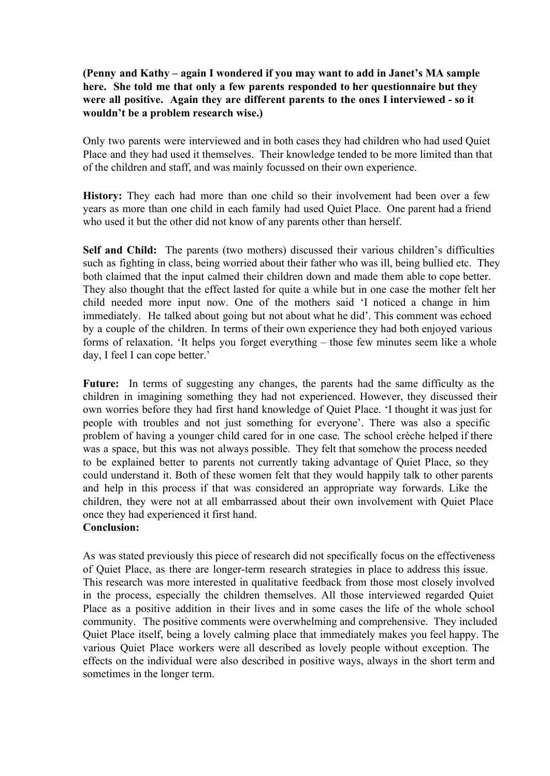## **(Penny and Kathy – again I wondered if you may want to add in Janet's MA sample here. She told me that only a few parents responded to her questionnaire but they were all positive. Again they are different parents to the ones I interviewed so it wouldn't be a problem research wise.)**

Only two parents were interviewed and in both cases they had children who had used Quiet Place and they had used it themselves. Their knowledge tended to be more limited than that of the children and staff, and was mainly focussed on their own experience.

**History:** They each had more than one child so their involvement had been over a few years as more than one child in each family had used Quiet Place. One parent had a friend who used it but the other did not know of any parents other than herself.

**Self and Child:** The parents (two mothers) discussed their various children's difficulties such as fighting in class, being worried about their father who was ill, being bullied etc. They both claimed that the input calmed their children down and made them able to cope better. They also thought that the effect lasted for quite a while but in one case the mother felt her child needed more input now. One of the mothers said 'I noticed a change in him immediately. He talked about going but not about what he did'. This comment was echoed by a couple of the children. In terms of their own experience they had both enjoyed various forms of relaxation. 'It helps you forget everything – those few minutes seem like a whole day, I feel I can cope better.'

Future: In terms of suggesting any changes, the parents had the same difficulty as the children in imagining something they had not experienced. However, they discussed their own worries before they had first hand knowledge of Quiet Place. 'I thought it was just for people with troubles and not just something for everyone'. There was also a specific problem of having a younger child cared for in one case. The school crèche helped if there was a space, but this was not always possible. They felt that somehow the process needed to be explained better to parents not currently taking advantage of Quiet Place, so they could understand it. Both of these women felt that they would happily talk to other parents and help in this process if that was considered an appropriate way forwards. Like the children, they were not at all embarrassed about their own involvement with Quiet Place once they had experienced it first hand.

## **Conclusion:**

As was stated previously this piece of research did not specifically focus on the effectiveness of Quiet Place, as there are longer-term research strategies in place to address this issue. This research was more interested in qualitative feedback from those most closely involved in the process, especially the children themselves. All those interviewed regarded Quiet Place as a positive addition in their lives and in some cases the life of the whole school community. The positive comments were overwhelming and comprehensive. They included Quiet Place itself, being a lovely calming place that immediately makes you feel happy. The various Quiet Place workers were all described as lovely people without exception. The effects on the individual were also described in positive ways, always in the short term and sometimes in the longer term.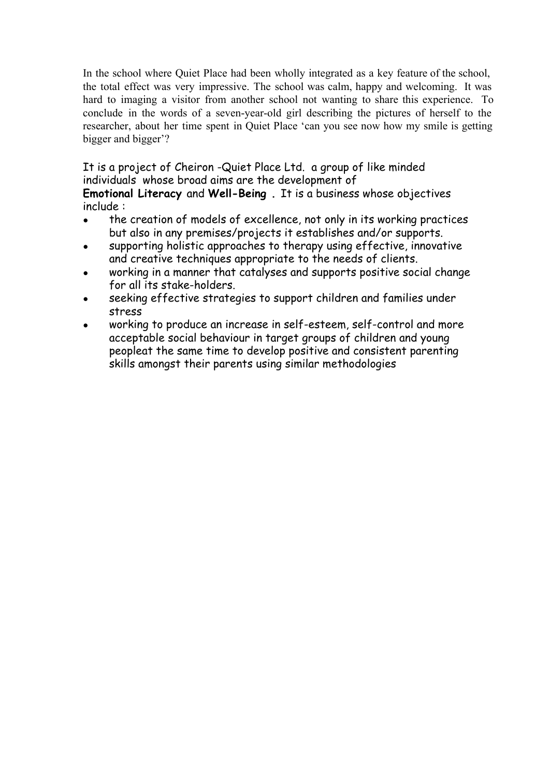In the school where Quiet Place had been wholly integrated as a key feature of the school, the total effect was very impressive. The school was calm, happy and welcoming. It was hard to imaging a visitor from another school not wanting to share this experience. To conclude in the words of a seven-year-old girl describing the pictures of herself to the researcher, about her time spent in Quiet Place 'can you see now how my smile is getting bigger and bigger'?

It is a project of Cheiron -Quiet Place Ltd. a group of like minded individuals whose broad aims are the development of **Emotional Literacy** and **Well-Being .** It is a business whose objectives include :

- the creation of models of excellence, not only in its working practices but also in any premises/projects it establishes and/or supports.
- supporting holistic approaches to therapy using effective, innovative and creative techniques appropriate to the needs of clients.
- working in a manner that catalyses and supports positive social change for all its stake-holders.
- seeking effective strategies to support children and families under stress
- working to produce an increase in self-esteem, self-control and more acceptable social behaviour in target groups of children and young peopleat the same time to develop positive and consistent parenting skills amongst their parents using similar methodologies